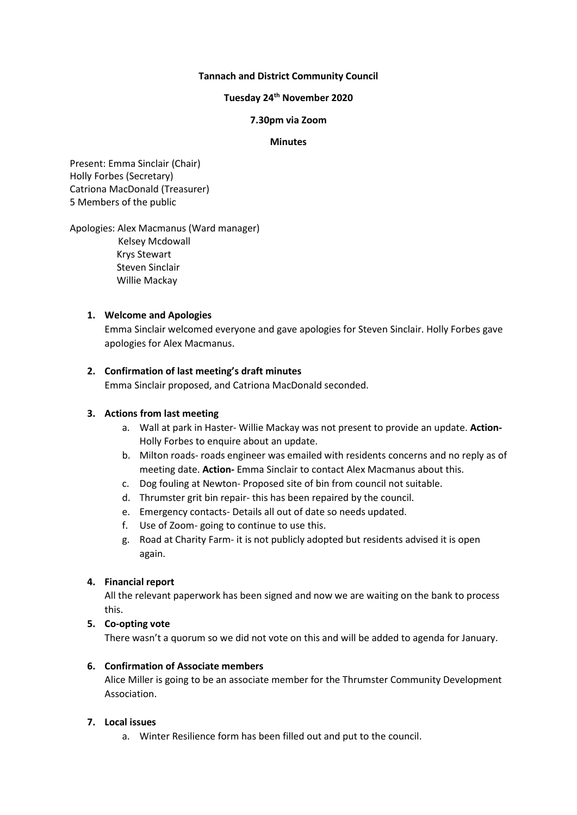### **Tannach and District Community Council**

## **Tuesday 24 th November 2020**

#### **7.30pm via Zoom**

#### **Minutes**

Present: Emma Sinclair (Chair) Holly Forbes (Secretary) Catriona MacDonald (Treasurer) 5 Members of the public

### Apologies: Alex Macmanus (Ward manager)

 Kelsey Mcdowall Krys Stewart Steven Sinclair Willie Mackay

#### **1. Welcome and Apologies**

Emma Sinclair welcomed everyone and gave apologies for Steven Sinclair. Holly Forbes gave apologies for Alex Macmanus.

### **2. Confirmation of last meeting's draft minutes**

Emma Sinclair proposed, and Catriona MacDonald seconded.

### **3. Actions from last meeting**

- a. Wall at park in Haster- Willie Mackay was not present to provide an update. **Action-**Holly Forbes to enquire about an update.
- b. Milton roads- roads engineer was emailed with residents concerns and no reply as of meeting date. **Action-** Emma Sinclair to contact Alex Macmanus about this.
- c. Dog fouling at Newton- Proposed site of bin from council not suitable.
- d. Thrumster grit bin repair- this has been repaired by the council.
- e. Emergency contacts- Details all out of date so needs updated.
- f. Use of Zoom- going to continue to use this.
- g. Road at Charity Farm- it is not publicly adopted but residents advised it is open again.

### **4. Financial report**

All the relevant paperwork has been signed and now we are waiting on the bank to process this.

### **5. Co-opting vote**

There wasn't a quorum so we did not vote on this and will be added to agenda for January.

### **6. Confirmation of Associate members**

Alice Miller is going to be an associate member for the Thrumster Community Development Association.

### **7. Local issues**

a. Winter Resilience form has been filled out and put to the council.